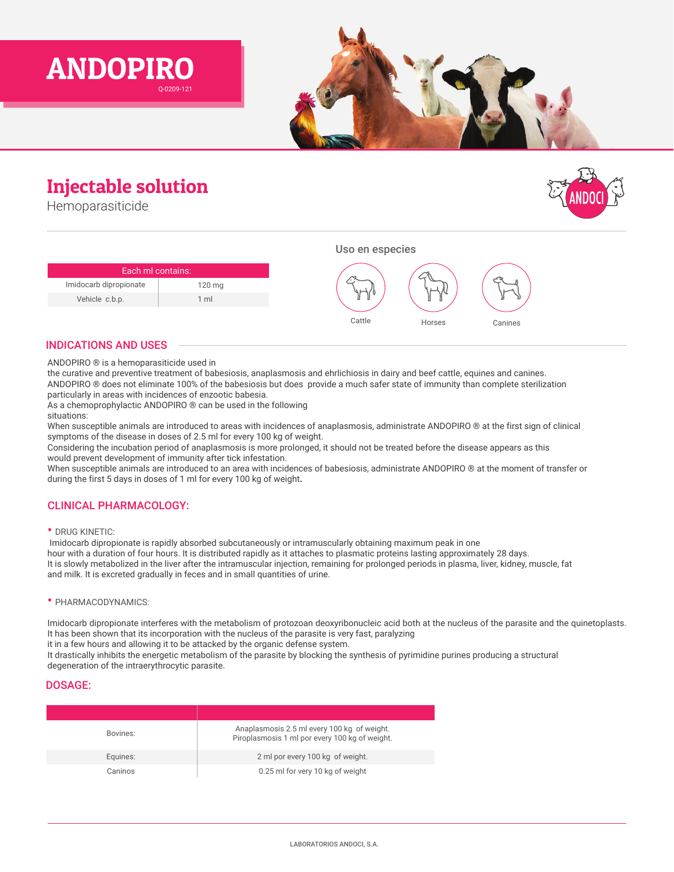

# Injectable solution

Hemoparasiticide

**ANDOPIR** 



# INDICATIONS AND USES

ANDOPIRO ® is a hemoparasiticide used in

the curative and preventive treatment of babesiosis, anaplasmosis and ehrlichiosis in dairy and beef cattle, equines and canines. ANDOPIRO ® does not eliminate 100% of the babesiosis but does provide a much safer state of immunity than complete sterilization particularly in areas with incidences of enzootic babesia.

As a chemoprophylactic ANDOPIRO ® can be used in the following situations:

Q-0209-121

When susceptible animals are introduced to areas with incidences of anaplasmosis, administrate ANDOPIRO ® at the first sign of clinical symptoms of the disease in doses of 2.5 ml for every 100 kg of weight.

Considering the incubation period of anaplasmosis is more prolonged, it should not be treated before the disease appears as this would prevent development of immunity after tick infestation.

When susceptible animals are introduced to an area with incidences of babesiosis, administrate ANDOPIRO ® at the moment of transfer or during the first 5 days in doses of 1 ml for every 100 kg of weight**.**

# CLINICAL PHARMACOLOGY:

#### • DRUG KINETIC:

 Imidocarb dipropionate is rapidly absorbed subcutaneously or intramuscularly obtaining maximum peak in one hour with a duration of four hours. It is distributed rapidly as it attaches to plasmatic proteins lasting approximately 28 days. It is slowly metabolized in the liver after the intramuscular injection, remaining for prolonged periods in plasma, liver, kidney, muscle, fat and milk. It is excreted gradually in feces and in small quantities of urine.

#### • PHARMACODYNAMICS:

Imidocarb dipropionate interferes with the metabolism of protozoan deoxyribonucleic acid both at the nucleus of the parasite and the quinetoplasts. It has been shown that its incorporation with the nucleus of the parasite is very fast, paralyzing

it in a few hours and allowing it to be attacked by the organic defense system.

It drastically inhibits the energetic metabolism of the parasite by blocking the synthesis of pyrimidine purines producing a structural degeneration of the intraerythrocytic parasite.

#### DOSAGE:

| Bovines: | Anaplasmosis 2.5 ml every 100 kg of weight.<br>Piroplasmosis 1 ml por every 100 kg of weight. |
|----------|-----------------------------------------------------------------------------------------------|
| Equines: | 2 ml por every 100 kg of weight.                                                              |
| Caninos  | 0.25 ml for very 10 kg of weight                                                              |